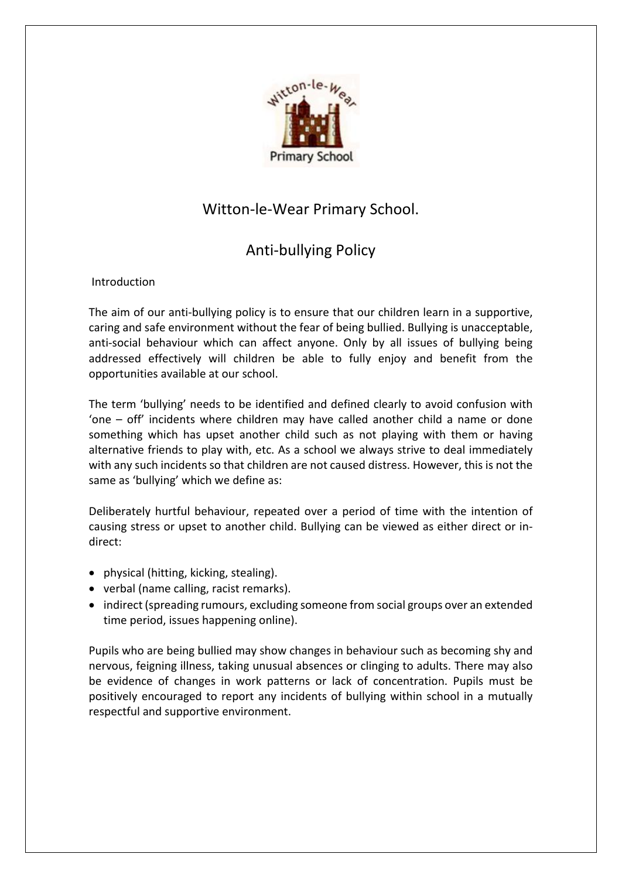

# Witton-le-Wear Primary School.

# Anti-bullying Policy

**Introduction** 

The aim of our anti-bullying policy is to ensure that our children learn in a supportive, caring and safe environment without the fear of being bullied. Bullying is unacceptable, anti-social behaviour which can affect anyone. Only by all issues of bullying being addressed effectively will children be able to fully enjoy and benefit from the opportunities available at our school.

The term 'bullying' needs to be identified and defined clearly to avoid confusion with 'one – off' incidents where children may have called another child a name or done something which has upset another child such as not playing with them or having alternative friends to play with, etc. As a school we always strive to deal immediately with any such incidents so that children are not caused distress. However, this is not the same as 'bullying' which we define as:

Deliberately hurtful behaviour, repeated over a period of time with the intention of causing stress or upset to another child. Bullying can be viewed as either direct or indirect:

- physical (hitting, kicking, stealing).
- verbal (name calling, racist remarks).
- indirect (spreading rumours, excluding someone from social groups over an extended time period, issues happening online).

Pupils who are being bullied may show changes in behaviour such as becoming shy and nervous, feigning illness, taking unusual absences or clinging to adults. There may also be evidence of changes in work patterns or lack of concentration. Pupils must be positively encouraged to report any incidents of bullying within school in a mutually respectful and supportive environment.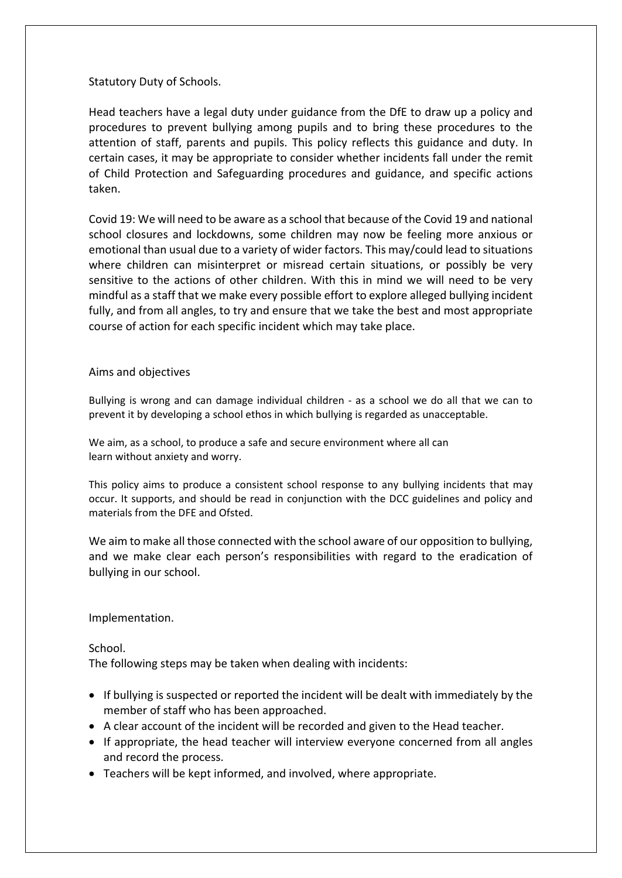Statutory Duty of Schools.

Head teachers have a legal duty under guidance from the DfE to draw up a policy and procedures to prevent bullying among pupils and to bring these procedures to the attention of staff, parents and pupils. This policy reflects this guidance and duty. In certain cases, it may be appropriate to consider whether incidents fall under the remit of Child Protection and Safeguarding procedures and guidance, and specific actions taken.

Covid 19: We will need to be aware as a school that because of the Covid 19 and national school closures and lockdowns, some children may now be feeling more anxious or emotional than usual due to a variety of wider factors. This may/could lead to situations where children can misinterpret or misread certain situations, or possibly be very sensitive to the actions of other children. With this in mind we will need to be very mindful as a staff that we make every possible effort to explore alleged bullying incident fully, and from all angles, to try and ensure that we take the best and most appropriate course of action for each specific incident which may take place.

### Aims and objectives

Bullying is wrong and can damage individual children - as a school we do all that we can to prevent it by developing a school ethos in which bullying is regarded as unacceptable.

We aim, as a school, to produce a safe and secure environment where all can learn without anxiety and worry.

This policy aims to produce a consistent school response to any bullying incidents that may occur. It supports, and should be read in conjunction with the DCC guidelines and policy and materials from the DFE and Ofsted.

We aim to make all those connected with the school aware of our opposition to bullying, and we make clear each person's responsibilities with regard to the eradication of bullying in our school.

Implementation.

School.

The following steps may be taken when dealing with incidents:

- If bullying is suspected or reported the incident will be dealt with immediately by the member of staff who has been approached.
- A clear account of the incident will be recorded and given to the Head teacher.
- If appropriate, the head teacher will interview everyone concerned from all angles and record the process.
- Teachers will be kept informed, and involved, where appropriate.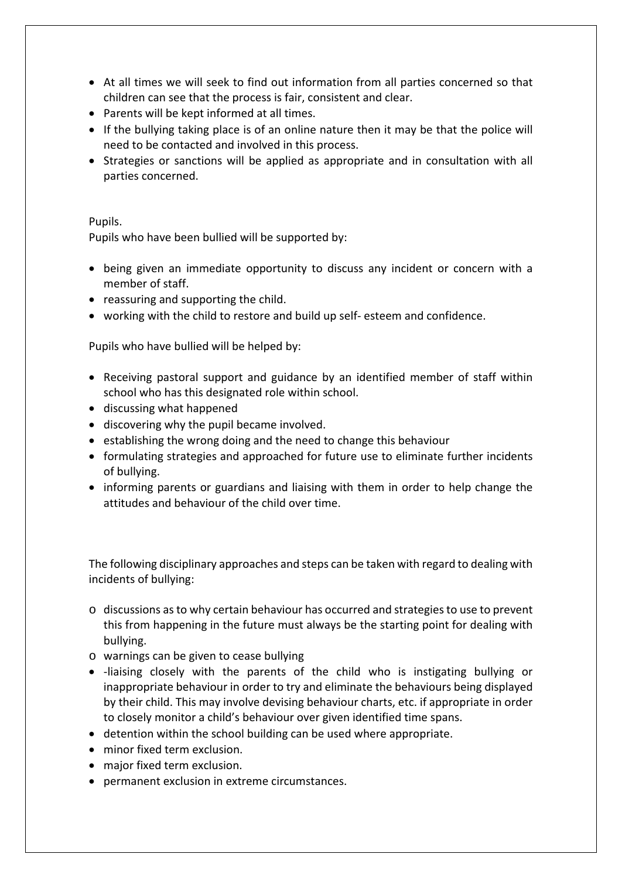- At all times we will seek to find out information from all parties concerned so that children can see that the process is fair, consistent and clear.
- Parents will be kept informed at all times.
- If the bullying taking place is of an online nature then it may be that the police will need to be contacted and involved in this process.
- Strategies or sanctions will be applied as appropriate and in consultation with all parties concerned.

### Pupils.

Pupils who have been bullied will be supported by:

- being given an immediate opportunity to discuss any incident or concern with a member of staff.
- reassuring and supporting the child.
- working with the child to restore and build up self- esteem and confidence.

Pupils who have bullied will be helped by:

- Receiving pastoral support and guidance by an identified member of staff within school who has this designated role within school.
- discussing what happened
- discovering why the pupil became involved.
- establishing the wrong doing and the need to change this behaviour
- formulating strategies and approached for future use to eliminate further incidents of bullying.
- informing parents or guardians and liaising with them in order to help change the attitudes and behaviour of the child over time.

The following disciplinary approaches and steps can be taken with regard to dealing with incidents of bullying:

- o discussions as to why certain behaviour has occurred and strategies to use to prevent this from happening in the future must always be the starting point for dealing with bullying.
- o warnings can be given to cease bullying
- -liaising closely with the parents of the child who is instigating bullying or inappropriate behaviour in order to try and eliminate the behaviours being displayed by their child. This may involve devising behaviour charts, etc. if appropriate in order to closely monitor a child's behaviour over given identified time spans.
- detention within the school building can be used where appropriate.
- minor fixed term exclusion.
- major fixed term exclusion.
- permanent exclusion in extreme circumstances.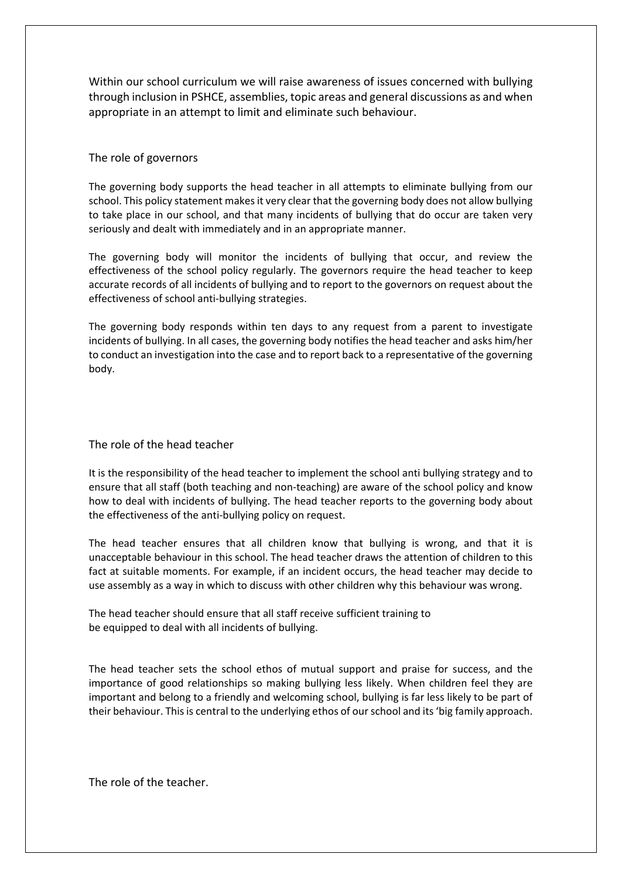Within our school curriculum we will raise awareness of issues concerned with bullying through inclusion in PSHCE, assemblies, topic areas and general discussions as and when appropriate in an attempt to limit and eliminate such behaviour.

#### The role of governors

The governing body supports the head teacher in all attempts to eliminate bullying from our school. This policy statement makes it very clear that the governing body does not allow bullying to take place in our school, and that many incidents of bullying that do occur are taken very seriously and dealt with immediately and in an appropriate manner.

The governing body will monitor the incidents of bullying that occur, and review the effectiveness of the school policy regularly. The governors require the head teacher to keep accurate records of all incidents of bullying and to report to the governors on request about the effectiveness of school anti-bullying strategies.

The governing body responds within ten days to any request from a parent to investigate incidents of bullying. In all cases, the governing body notifies the head teacher and asks him/her to conduct an investigation into the case and to report back to a representative of the governing body.

The role of the head teacher

It is the responsibility of the head teacher to implement the school anti bullying strategy and to ensure that all staff (both teaching and non-teaching) are aware of the school policy and know how to deal with incidents of bullying. The head teacher reports to the governing body about the effectiveness of the anti-bullying policy on request.

The head teacher ensures that all children know that bullying is wrong, and that it is unacceptable behaviour in this school. The head teacher draws the attention of children to this fact at suitable moments. For example, if an incident occurs, the head teacher may decide to use assembly as a way in which to discuss with other children why this behaviour was wrong.

The head teacher should ensure that all staff receive sufficient training to be equipped to deal with all incidents of bullying.

The head teacher sets the school ethos of mutual support and praise for success, and the importance of good relationships so making bullying less likely. When children feel they are important and belong to a friendly and welcoming school, bullying is far less likely to be part of their behaviour. This is central to the underlying ethos of our school and its 'big family approach.

The role of the teacher.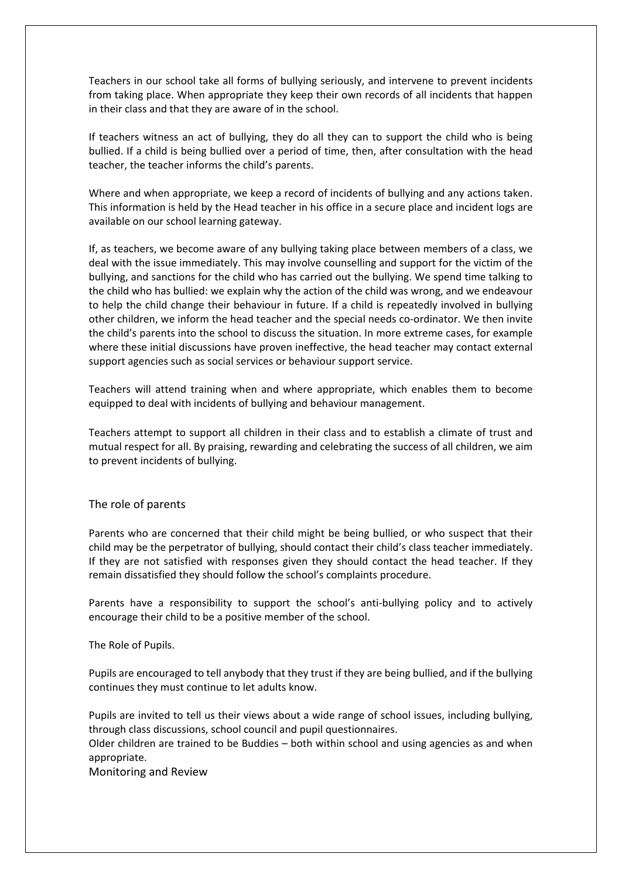Teachers in our school take all forms of bullying seriously, and intervene to prevent incidents from taking place. When appropriate they keep their own records of all incidents that happen in their class and that they are aware of in the school.

If teachers witness an act of bullying, they do all they can to support the child who is being bullied. If a child is being bullied over a period of time, then, after consultation with the head teacher, the teacher informs the child's parents.

Where and when appropriate, we keep a record of incidents of bullying and any actions taken. This information is held by the Head teacher in his office in a secure place and incident logs are available on our school learning gateway.

If, as teachers, we become aware of any bullying taking place between members of a class, we deal with the issue immediately. This may involve counselling and support for the victim of the bullying, and sanctions for the child who has carried out the bullying. We spend time talking to the child who has bullied: we explain why the action of the child was wrong, and we endeavour to help the child change their behaviour in future. If a child is repeatedly involved in bullying other children, we inform the head teacher and the special needs co-ordinator. We then invite the child's parents into the school to discuss the situation. In more extreme cases, for example where these initial discussions have proven ineffective, the head teacher may contact external support agencies such as social services or behaviour support service.

Teachers will attend training when and where appropriate, which enables them to become equipped to deal with incidents of bullying and behaviour management.

Teachers attempt to support all children in their class and to establish a climate of trust and mutual respect for all. By praising, rewarding and celebrating the success of all children, we aim to prevent incidents of bullying.

The role of parents

Parents who are concerned that their child might be being bullied, or who suspect that their child may be the perpetrator of bullying, should contact their child's class teacher immediately. If they are not satisfied with responses given they should contact the head teacher. If they remain dissatisfied they should follow the school's complaints procedure.

Parents have a responsibility to support the school's anti-bullying policy and to actively encourage their child to be a positive member of the school.

The Role of Pupils.

Pupils are encouraged to tell anybody that they trust if they are being bullied, and if the bullying continues they must continue to let adults know.

Pupils are invited to tell us their views about a wide range of school issues, including bullying, through class discussions, school council and pupil questionnaires.

Older children are trained to be Buddies – both within school and using agencies as and when appropriate.

Monitoring and Review